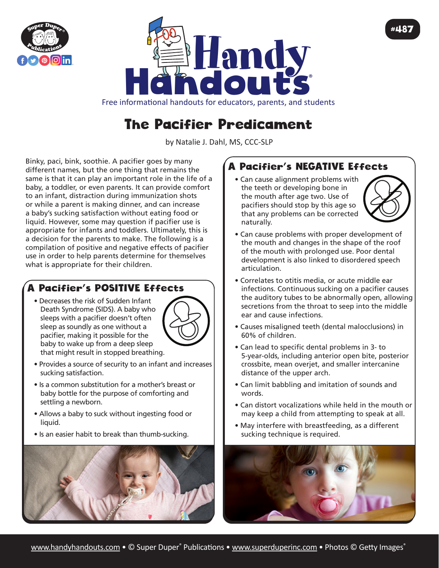



Free informational handouts for educators, parents, and students

# The Pacifier Predicament

by Natalie J. Dahl, MS, CCC-SLP

Binky, paci, bink, soothie. A pacifier goes by many different names, but the one thing that remains the same is that it can play an important role in the life of a baby, a toddler, or even parents. It can provide comfort to an infant, distraction during immunization shots or while a parent is making dinner, and can increase a baby's sucking satisfaction without eating food or liquid. However, some may question if pacifier use is appropriate for infants and toddlers. Ultimately, this is a decision for the parents to make. The following is a compilation of positive and negative effects of pacifier use in order to help parents determine for themselves what is appropriate for their children.

### A Pacifier's POSITIVE Effects

• Decreases the risk of Sudden Infant Death Syndrome (SIDS). A baby who sleeps with a pacifier doesn't often sleep as soundly as one without a pacifier, making it possible for the baby to wake up from a deep sleep that might result in stopped breathing.



- Provides a source of security to an infant and increases sucking satisfaction.
- Is a common substitution for a mother's breast or baby bottle for the purpose of comforting and settling a newborn.
- Allows a baby to suck without ingesting food or liquid.
- Is an easier habit to break than thumb-sucking.



## A Pacifier's NEGATIVE Effects

• Can cause alignment problems with the teeth or developing bone in the mouth after age two. Use of pacifiers should stop by this age so that any problems can be corrected naturally.



#487

- Can cause problems with proper development of the mouth and changes in the shape of the roof of the mouth with prolonged use. Poor dental development is also linked to disordered speech articulation.
- Correlates to otitis media, or acute middle ear infections. Continuous sucking on a pacifier causes the auditory tubes to be abnormally open, allowing secretions from the throat to seep into the middle ear and cause infections.
- Causes misaligned teeth (dental malocclusions) in 60% of children.
- Can lead to specific dental problems in 3- to 5-year-olds, including anterior open bite, posterior crossbite, mean overjet, and smaller intercanine distance of the upper arch.
- Can limit babbling and imitation of sounds and words.
- Can distort vocalizations while held in the mouth or may keep a child from attempting to speak at all.
- May interfere with breastfeeding, as a different sucking technique is required.